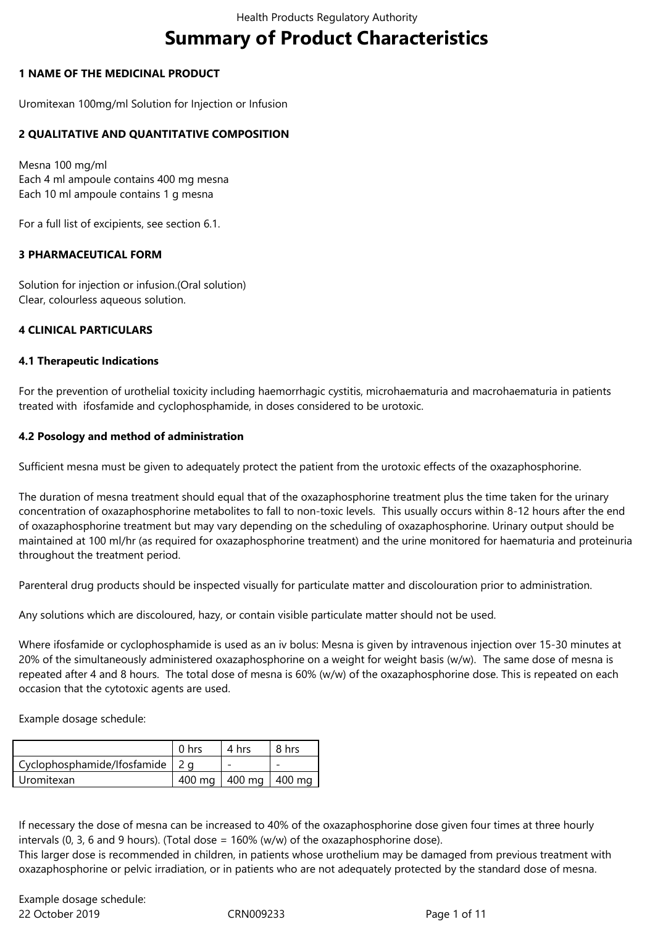# **Summary of Product Characteristics**

## **1 NAME OF THE MEDICINAL PRODUCT**

Uromitexan 100mg/ml Solution for Injection or Infusion

## **2 QUALITATIVE AND QUANTITATIVE COMPOSITION**

Mesna 100 mg/ml Each 4 ml ampoule contains 400 mg mesna Each 10 ml ampoule contains 1 g mesna

For a full list of excipients, see section 6.1.

#### **3 PHARMACEUTICAL FORM**

Solution for injection or infusion.(Oral solution) Clear, colourless aqueous solution.

## **4 CLINICAL PARTICULARS**

#### **4.1 Therapeutic Indications**

For the prevention of urothelial toxicity including haemorrhagic cystitis, microhaematuria and macrohaematuria in patients treated with ifosfamide and cyclophosphamide, in doses considered to be urotoxic.

#### **4.2 Posology and method of administration**

Sufficient mesna must be given to adequately protect the patient from the urotoxic effects of the oxazaphosphorine.

The duration of mesna treatment should equal that of the oxazaphosphorine treatment plus the time taken for the urinary concentration of oxazaphosphorine metabolites to fall to non-toxic levels. This usually occurs within 8-12 hours after the end of oxazaphosphorine treatment but may vary depending on the scheduling of oxazaphosphorine. Urinary output should be maintained at 100 ml/hr (as required for oxazaphosphorine treatment) and the urine monitored for haematuria and proteinuria throughout the treatment period.

Parenteral drug products should be inspected visually for particulate matter and discolouration prior to administration.

Any solutions which are discoloured, hazy, or contain visible particulate matter should not be used.

Where ifosfamide or cyclophosphamide is used as an iv bolus: Mesna is given by intravenous injection over 15-30 minutes at 20% of the simultaneously administered oxazaphosphorine on a weight for weight basis (w/w). The same dose of mesna is repeated after 4 and 8 hours. The total dose of mesna is 60% (w/w) of the oxazaphosphorine dose. This is repeated on each occasion that the cytotoxic agents are used.

Example dosage schedule:

|                                   | 0 <sub>hrs</sub> | 4 hrs               | 8 hrs |
|-----------------------------------|------------------|---------------------|-------|
| Cyclophosphamide/Ifosfamide   2 q |                  |                     |       |
| Uromitexan                        | 400 ma           | $1400$ mg $1400$ mg |       |

If necessary the dose of mesna can be increased to 40% of the oxazaphosphorine dose given four times at three hourly intervals (0, 3, 6 and 9 hours). (Total dose =  $160\%$  (w/w) of the oxazaphosphorine dose).

This larger dose is recommended in children, in patients whose urothelium may be damaged from previous treatment with oxazaphosphorine or pelvic irradiation, or in patients who are not adequately protected by the standard dose of mesna.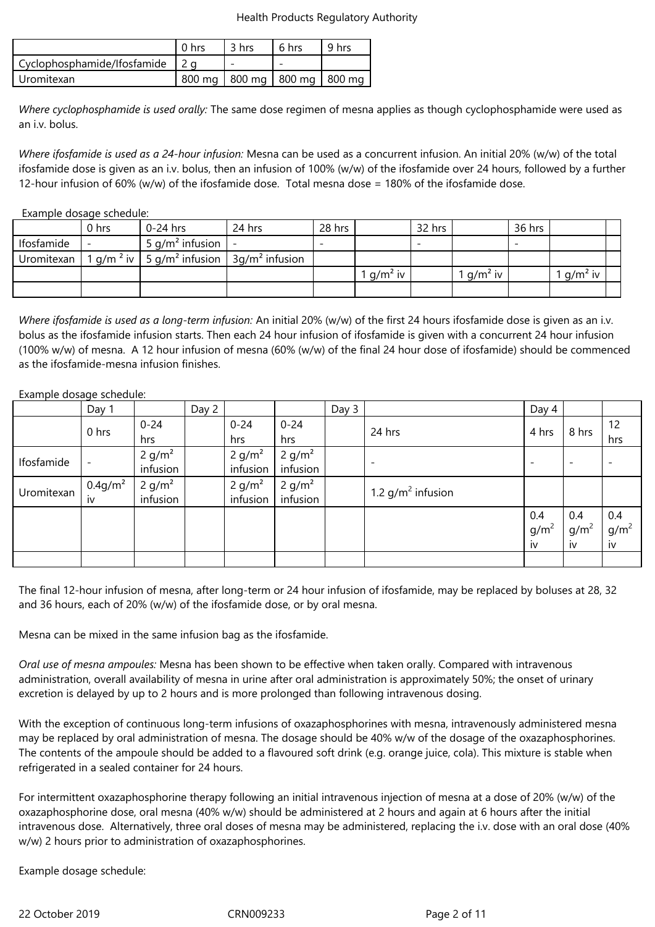|                             | 0 <sub>hrs</sub> | 3 hrs | 6 hrs                             | 9 hrs |
|-----------------------------|------------------|-------|-----------------------------------|-------|
| Cyclophosphamide/Ifosfamide |                  |       |                                   |       |
| l Uromitexan                |                  |       | 800 mg   800 mg   800 mg   800 mg |       |

*Where cyclophosphamide is used orally:* The same dose regimen of mesna applies as though cyclophosphamide were used as an i.v. bolus.

*Where ifosfamide is used as a 24-hour infusion:* Mesna can be used as a concurrent infusion. An initial 20% (w/w) of the total ifosfamide dose is given as an i.v. bolus, then an infusion of 100% (w/w) of the ifosfamide over 24 hours, followed by a further 12-hour infusion of 60% (w/w) of the ifosfamide dose. Total mesna dose = 180% of the ifosfamide dose.

#### Example dosage schedule:

|            | 0 hrs                             | $0-24$ hrs         | 24 hrs           | 28 hrs |            | 32 hrs |            | 36 hrs |            |  |
|------------|-----------------------------------|--------------------|------------------|--------|------------|--------|------------|--------|------------|--|
| Ifosfamide | $\overline{\phantom{0}}$          | 5 $q/m^2$ infusion |                  |        |            |        |            |        |            |  |
| Uromitexan | $1$ g/m <sup>2</sup> iv $\vert$ . | 5 $q/m^2$ infusion | $3q/m2$ infusion |        |            |        |            |        |            |  |
|            |                                   |                    |                  |        | $q/m^2$ iv |        | $q/m^2$ iv |        | $q/m^2$ iv |  |
|            |                                   |                    |                  |        |            |        |            |        |            |  |

*Where ifosfamide is used as a long-term infusion:* An initial 20% (w/w) of the first 24 hours ifosfamide dose is given as an i.v. bolus as the ifosfamide infusion starts. Then each 24 hour infusion of ifosfamide is given with a concurrent 24 hour infusion (100% w/w) of mesna. A 12 hour infusion of mesna (60% (w/w) of the final 24 hour dose of ifosfamide) should be commenced as the ifosfamide-mesna infusion finishes.

#### Example dosage schedule:

|            | Day 1                    |                    | Day 2 |          |          | Day 3 |                          | Day 4                    |                          |         |
|------------|--------------------------|--------------------|-------|----------|----------|-------|--------------------------|--------------------------|--------------------------|---------|
|            | 0 hrs                    | $0 - 24$           |       | $0 - 24$ | $0 - 24$ |       |                          |                          |                          | 12      |
|            |                          | hrs                |       | hrs      | hrs      |       | 24 hrs                   | 4 hrs                    | 8 hrs                    | hrs     |
|            |                          | 2 g/m <sup>2</sup> |       | 2 $g/m2$ | 2 $g/m2$ |       |                          |                          |                          |         |
| Ifosfamide | $\overline{\phantom{a}}$ | infusion           |       | infusion | infusion |       | $\overline{\phantom{a}}$ | $\overline{\phantom{a}}$ | $\overline{\phantom{a}}$ |         |
|            | 0.4 g/m <sup>2</sup>     | 2 g/m <sup>2</sup> |       | 2 $g/m2$ | 2 $g/m2$ |       |                          |                          |                          |         |
| Uromitexan | iv                       | infusion           |       | infusion | infusion |       | 1.2 $g/m^2$ infusion     |                          |                          |         |
|            |                          |                    |       |          |          |       |                          | 0.4                      | 0.4                      | 0.4     |
|            |                          |                    |       |          |          |       |                          | $g/m^2$                  | g/m <sup>2</sup>         | $g/m^2$ |
|            |                          |                    |       |          |          |       |                          | iv                       | iv                       | iv      |
|            |                          |                    |       |          |          |       |                          |                          |                          |         |

The final 12-hour infusion of mesna, after long-term or 24 hour infusion of ifosfamide, may be replaced by boluses at 28, 32 and 36 hours, each of 20% (w/w) of the ifosfamide dose, or by oral mesna.

Mesna can be mixed in the same infusion bag as the ifosfamide.

*Oral use of mesna ampoules:* Mesna has been shown to be effective when taken orally. Compared with intravenous administration, overall availability of mesna in urine after oral administration is approximately 50%; the onset of urinary excretion is delayed by up to 2 hours and is more prolonged than following intravenous dosing.

With the exception of continuous long-term infusions of oxazaphosphorines with mesna, intravenously administered mesna may be replaced by oral administration of mesna. The dosage should be 40% w/w of the dosage of the oxazaphosphorines. The contents of the ampoule should be added to a flavoured soft drink (e.g. orange juice, cola). This mixture is stable when refrigerated in a sealed container for 24 hours.

For intermittent oxazaphosphorine therapy following an initial intravenous injection of mesna at a dose of 20% (w/w) of the oxazaphosphorine dose, oral mesna (40% w/w) should be administered at 2 hours and again at 6 hours after the initial intravenous dose. Alternatively, three oral doses of mesna may be administered, replacing the i.v. dose with an oral dose (40% w/w) 2 hours prior to administration of oxazaphosphorines.

Example dosage schedule:

22 October 2019 CRN009233 Page 2 of 11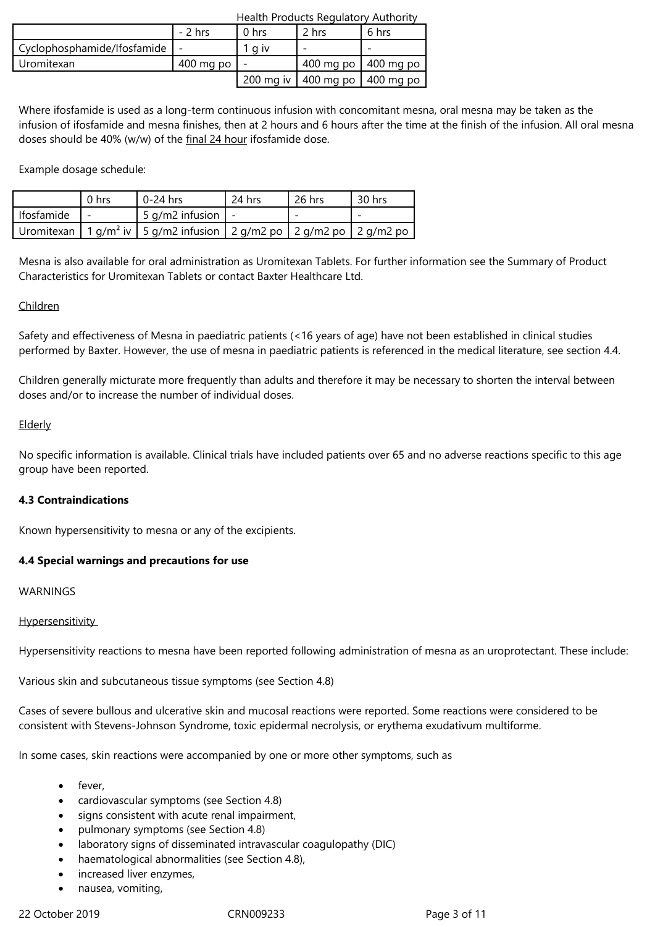|                             | $-2$ hrs               | 0 <sub>hrs</sub> | 2 hrs                             | 6 hrs |
|-----------------------------|------------------------|------------------|-----------------------------------|-------|
| Cyclophosphamide/Ifosfamide |                        | a iv             |                                   |       |
| Uromitexan                  | $400 \,\mathrm{mg}$ po |                  | 400 mg po 1400 mg po              |       |
|                             |                        |                  | 200 mg iv   400 mg po   400 mg po |       |

Where ifosfamide is used as a long-term continuous infusion with concomitant mesna, oral mesna may be taken as the infusion of ifosfamide and mesna finishes, then at 2 hours and 6 hours after the time at the finish of the infusion. All oral mesna doses should be 40% (w/w) of the final 24 hour ifosfamide dose.

Health Products Regulatory Authority

Example dosage schedule:

|            | 0 <sub>hrs</sub> | 0-24 hrs                                                                                 | 24 hrs | 26 hrs | 30 hrs                   |
|------------|------------------|------------------------------------------------------------------------------------------|--------|--------|--------------------------|
| Ifosfamide |                  | 5 g/m2 infusion $\vert$                                                                  |        |        | $\overline{\phantom{0}}$ |
|            |                  | Uromitexan   1 g/m <sup>2</sup> iv   5 g/m2 infusion   2 g/m2 po   2 g/m2 po   2 g/m2 po |        |        |                          |

Mesna is also available for oral administration as Uromitexan Tablets. For further information see the Summary of Product Characteristics for Uromitexan Tablets or contact Baxter Healthcare Ltd.

# Children

Safety and effectiveness of Mesna in paediatric patients (<16 years of age) have not been established in clinical studies performed by Baxter. However, the use of mesna in paediatric patients is referenced in the medical literature, see section 4.4.

Children generally micturate more frequently than adults and therefore it may be necessary to shorten the interval between doses and/or to increase the number of individual doses.

# Elderly

No specific information is available. Clinical trials have included patients over 65 and no adverse reactions specific to this age group have been reported.

# **4.3 Contraindications**

Known hypersensitivity to mesna or any of the excipients.

## **4.4 Special warnings and precautions for use**

**WARNINGS** 

## **Hypersensitivity**

Hypersensitivity reactions to mesna have been reported following administration of mesna as an uroprotectant. These include:

Various skin and subcutaneous tissue symptoms (see Section 4.8)

Cases of severe bullous and ulcerative skin and mucosal reactions were reported. Some reactions were considered to be consistent with Stevens-Johnson Syndrome, toxic epidermal necrolysis, or erythema exudativum multiforme.

In some cases, skin reactions were accompanied by one or more other symptoms, such as

- fever,
- cardiovascular symptoms (see Section 4.8)
- signs consistent with acute renal impairment,
- pulmonary symptoms (see Section 4.8)
- laboratory signs of disseminated intravascular coagulopathy (DIC)
- haematological abnormalities (see Section 4.8),
- increased liver enzymes,
- nausea, vomiting,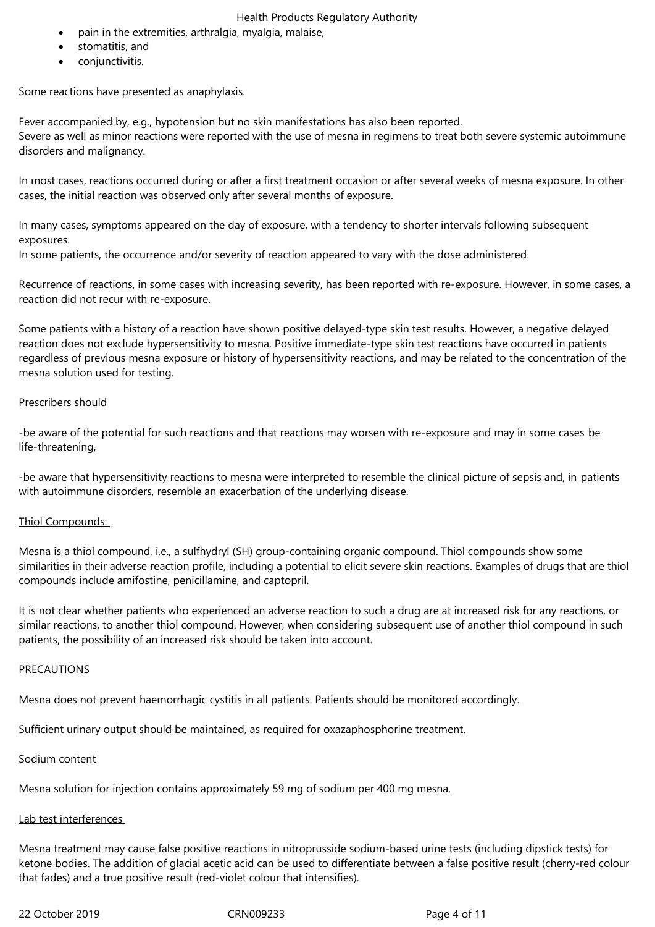- pain in the extremities, arthralgia, myalgia, malaise,
- stomatitis, and
- conjunctivitis.

Some reactions have presented as anaphylaxis.

Fever accompanied by, e.g., hypotension but no skin manifestations has also been reported. Severe as well as minor reactions were reported with the use of mesna in regimens to treat both severe systemic autoimmune disorders and malignancy.

In most cases, reactions occurred during or after a first treatment occasion or after several weeks of mesna exposure. In other cases, the initial reaction was observed only after several months of exposure.

In many cases, symptoms appeared on the day of exposure, with a tendency to shorter intervals following subsequent exposures.

In some patients, the occurrence and/or severity of reaction appeared to vary with the dose administered.

Recurrence of reactions, in some cases with increasing severity, has been reported with re-exposure. However, in some cases, a reaction did not recur with re-exposure.

Some patients with a history of a reaction have shown positive delayed-type skin test results. However, a negative delayed reaction does not exclude hypersensitivity to mesna. Positive immediate-type skin test reactions have occurred in patients regardless of previous mesna exposure or history of hypersensitivity reactions, and may be related to the concentration of the mesna solution used for testing.

## Prescribers should

-be aware of the potential for such reactions and that reactions may worsen with re-exposure and may in some cases be life-threatening,

-be aware that hypersensitivity reactions to mesna were interpreted to resemble the clinical picture of sepsis and, in patients with autoimmune disorders, resemble an exacerbation of the underlying disease.

#### Thiol Compounds:

Mesna is a thiol compound, i.e., a sulfhydryl (SH) group-containing organic compound. Thiol compounds show some similarities in their adverse reaction profile, including a potential to elicit severe skin reactions. Examples of drugs that are thiol compounds include amifostine, penicillamine, and captopril.

It is not clear whether patients who experienced an adverse reaction to such a drug are at increased risk for any reactions, or similar reactions, to another thiol compound. However, when considering subsequent use of another thiol compound in such patients, the possibility of an increased risk should be taken into account.

#### PRECAUTIONS

Mesna does not prevent haemorrhagic cystitis in all patients. Patients should be monitored accordingly.

Sufficient urinary output should be maintained, as required for oxazaphosphorine treatment.

#### Sodium content

Mesna solution for injection contains approximately 59 mg of sodium per 400 mg mesna.

# Lab test interferences

Mesna treatment may cause false positive reactions in nitroprusside sodium-based urine tests (including dipstick tests) for ketone bodies. The addition of glacial acetic acid can be used to differentiate between a false positive result (cherry-red colour that fades) and a true positive result (red-violet colour that intensifies).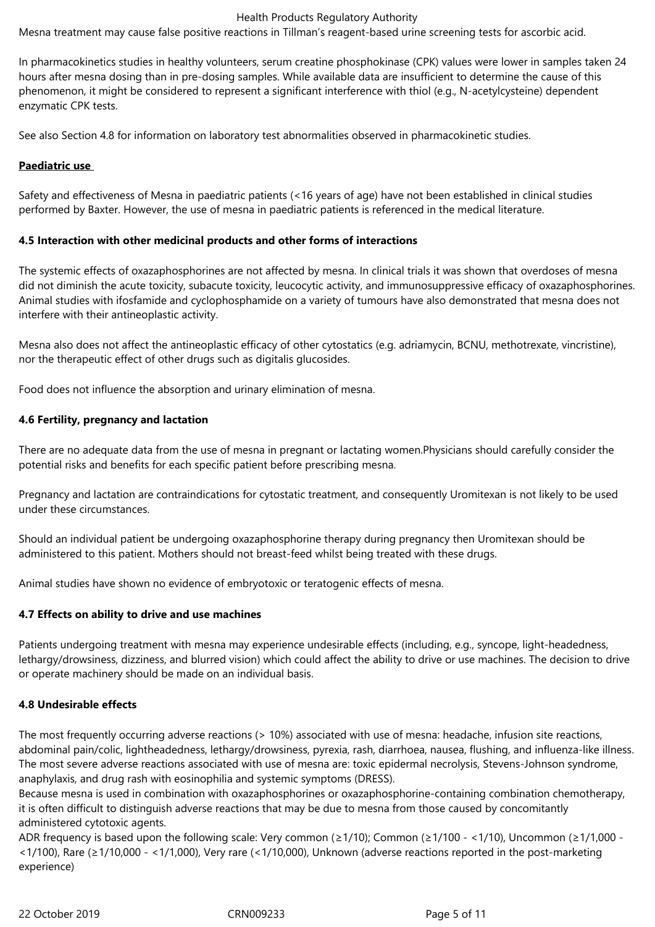Mesna treatment may cause false positive reactions in Tillman's reagent-based urine screening tests for ascorbic acid.

In pharmacokinetics studies in healthy volunteers, serum creatine phosphokinase (CPK) values were lower in samples taken 24 hours after mesna dosing than in pre-dosing samples. While available data are insufficient to determine the cause of this phenomenon, it might be considered to represent a significant interference with thiol (e.g., N-acetylcysteine) dependent enzymatic CPK tests.

See also Section 4.8 for information on laboratory test abnormalities observed in pharmacokinetic studies.

## **Paediatric use**

Safety and effectiveness of Mesna in paediatric patients (<16 years of age) have not been established in clinical studies performed by Baxter. However, the use of mesna in paediatric patients is referenced in the medical literature.

## **4.5 Interaction with other medicinal products and other forms of interactions**

The systemic effects of oxazaphosphorines are not affected by mesna. In clinical trials it was shown that overdoses of mesna did not diminish the acute toxicity, subacute toxicity, leucocytic activity, and immunosuppressive efficacy of oxazaphosphorines. Animal studies with ifosfamide and cyclophosphamide on a variety of tumours have also demonstrated that mesna does not interfere with their antineoplastic activity.

Mesna also does not affect the antineoplastic efficacy of other cytostatics (e.g. adriamycin, BCNU, methotrexate, vincristine), nor the therapeutic effect of other drugs such as digitalis glucosides.

Food does not influence the absorption and urinary elimination of mesna.

## **4.6 Fertility, pregnancy and lactation**

There are no adequate data from the use of mesna in pregnant or lactating women.Physicians should carefully consider the potential risks and benefits for each specific patient before prescribing mesna.

Pregnancy and lactation are contraindications for cytostatic treatment, and consequently Uromitexan is not likely to be used under these circumstances.

Should an individual patient be undergoing oxazaphosphorine therapy during pregnancy then Uromitexan should be administered to this patient. Mothers should not breast-feed whilst being treated with these drugs.

Animal studies have shown no evidence of embryotoxic or teratogenic effects of mesna.

## **4.7 Effects on ability to drive and use machines**

Patients undergoing treatment with mesna may experience undesirable effects (including, e.g., syncope, light-headedness, lethargy/drowsiness, dizziness, and blurred vision) which could affect the ability to drive or use machines. The decision to drive or operate machinery should be made on an individual basis.

#### **4.8 Undesirable effects**

The most frequently occurring adverse reactions (> 10%) associated with use of mesna: headache, infusion site reactions, abdominal pain/colic, lightheadedness, lethargy/drowsiness, pyrexia, rash, diarrhoea, nausea, flushing, and influenza-like illness. The most severe adverse reactions associated with use of mesna are: toxic epidermal necrolysis, Stevens-Johnson syndrome, anaphylaxis, and drug rash with eosinophilia and systemic symptoms (DRESS).

Because mesna is used in combination with oxazaphosphorines or oxazaphosphorine-containing combination chemotherapy, it is often difficult to distinguish adverse reactions that may be due to mesna from those caused by concomitantly administered cytotoxic agents.

ADR frequency is based upon the following scale: Very common ( $\geq 1/10$ ); Common ( $\geq 1/100 - \leq 1/10$ ), Uncommon ( $\geq 1/1,000 -$ <1/100), Rare (≥1/10,000 - <1/1,000), Very rare (<1/10,000), Unknown (adverse reactions reported in the post-marketing experience)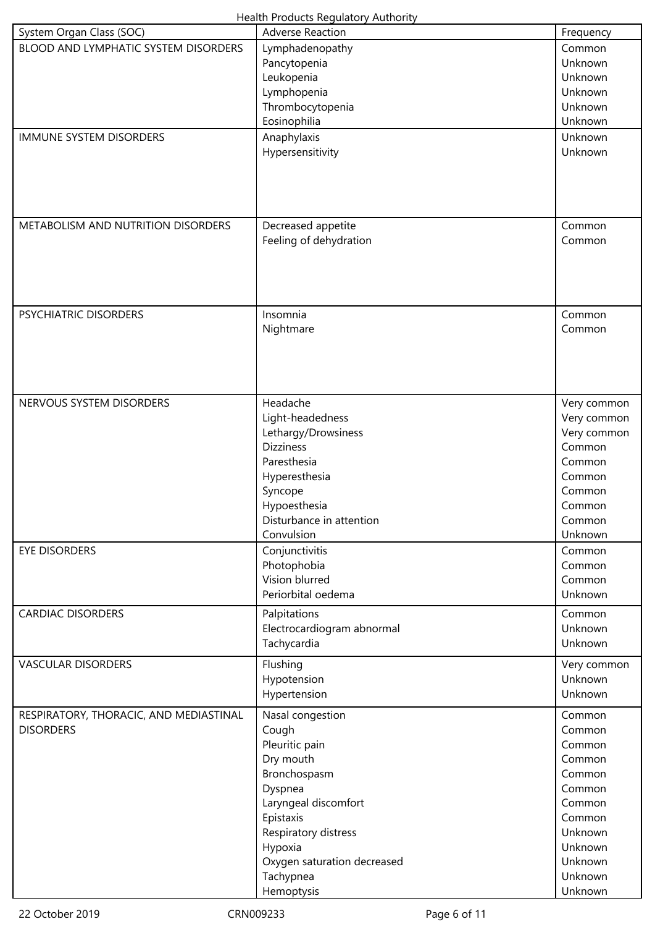| <b>Health Products Regulatory Authority</b> |  |
|---------------------------------------------|--|
|---------------------------------------------|--|

| System Organ Class (SOC)               | <b>Adverse Reaction</b>                 | Frequency                  |
|----------------------------------------|-----------------------------------------|----------------------------|
| BLOOD AND LYMPHATIC SYSTEM DISORDERS   | Lymphadenopathy                         | Common                     |
|                                        | Pancytopenia                            | Unknown                    |
|                                        | Leukopenia                              | Unknown                    |
|                                        | Lymphopenia                             | Unknown                    |
|                                        | Thrombocytopenia                        | Unknown                    |
|                                        | Eosinophilia                            | Unknown                    |
| <b>IMMUNE SYSTEM DISORDERS</b>         | Anaphylaxis                             | Unknown                    |
|                                        | Hypersensitivity                        | Unknown                    |
|                                        |                                         |                            |
|                                        |                                         |                            |
|                                        |                                         |                            |
|                                        |                                         |                            |
| METABOLISM AND NUTRITION DISORDERS     | Decreased appetite                      | Common                     |
|                                        | Feeling of dehydration                  | Common                     |
|                                        |                                         |                            |
|                                        |                                         |                            |
|                                        |                                         |                            |
|                                        |                                         |                            |
| PSYCHIATRIC DISORDERS                  | Insomnia                                | Common                     |
|                                        | Nightmare                               | Common                     |
|                                        |                                         |                            |
|                                        |                                         |                            |
|                                        |                                         |                            |
| NERVOUS SYSTEM DISORDERS               | Headache                                |                            |
|                                        |                                         | Very common                |
|                                        | Light-headedness                        | Very common<br>Very common |
|                                        | Lethargy/Drowsiness<br><b>Dizziness</b> | Common                     |
|                                        | Paresthesia                             | Common                     |
|                                        | Hyperesthesia                           | Common                     |
|                                        | Syncope                                 | Common                     |
|                                        | Hypoesthesia                            | Common                     |
|                                        | Disturbance in attention                | Common                     |
|                                        | Convulsion                              | Unknown                    |
| <b>EYE DISORDERS</b>                   | Conjunctivitis                          | Common                     |
|                                        | Photophobia                             | Common                     |
|                                        | Vision blurred                          | Common                     |
|                                        | Periorbital oedema                      | Unknown                    |
|                                        |                                         |                            |
| <b>CARDIAC DISORDERS</b>               | Palpitations                            | Common                     |
|                                        | Electrocardiogram abnormal              | Unknown<br>Unknown         |
|                                        | Tachycardia                             |                            |
| <b>VASCULAR DISORDERS</b>              | Flushing                                | Very common                |
|                                        | Hypotension                             | Unknown                    |
|                                        | Hypertension                            | Unknown                    |
| RESPIRATORY, THORACIC, AND MEDIASTINAL | Nasal congestion                        | Common                     |
| <b>DISORDERS</b>                       | Cough                                   | Common                     |
|                                        | Pleuritic pain                          | Common                     |
|                                        | Dry mouth                               | Common                     |
|                                        | Bronchospasm                            | Common                     |
|                                        | Dyspnea                                 | Common                     |
|                                        | Laryngeal discomfort                    | Common                     |
|                                        | Epistaxis                               | Common                     |
|                                        | Respiratory distress                    | Unknown                    |
|                                        | Hypoxia                                 | Unknown                    |
|                                        | Oxygen saturation decreased             | Unknown                    |
|                                        | Tachypnea                               | Unknown                    |
|                                        | Hemoptysis                              | Unknown                    |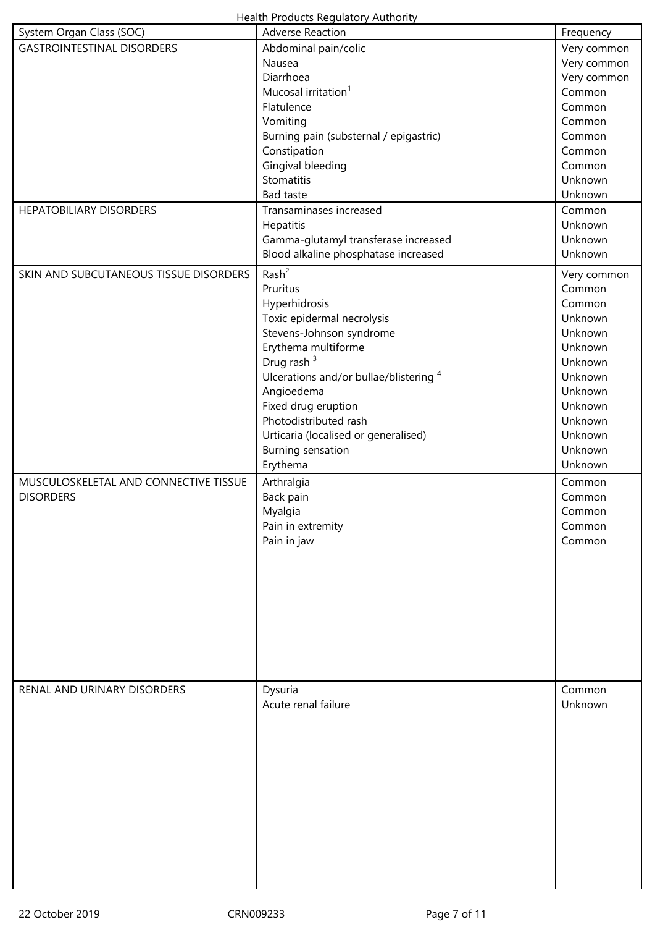| System Organ Class (SOC)               | <b>Adverse Reaction</b>                | Frequency   |
|----------------------------------------|----------------------------------------|-------------|
| <b>GASTROINTESTINAL DISORDERS</b>      | Abdominal pain/colic                   | Very common |
|                                        | Nausea                                 | Very common |
|                                        | Diarrhoea                              | Very common |
|                                        | Mucosal irritation <sup>1</sup>        | Common      |
|                                        | Flatulence                             | Common      |
|                                        | Vomiting                               | Common      |
|                                        | Burning pain (substernal / epigastric) | Common      |
|                                        | Constipation                           | Common      |
|                                        | Gingival bleeding                      | Common      |
|                                        | Stomatitis                             | Unknown     |
|                                        | <b>Bad taste</b>                       | Unknown     |
| <b>HEPATOBILIARY DISORDERS</b>         | Transaminases increased                | Common      |
|                                        | Hepatitis                              | Unknown     |
|                                        | Gamma-glutamyl transferase increased   | Unknown     |
|                                        | Blood alkaline phosphatase increased   | Unknown     |
| SKIN AND SUBCUTANEOUS TISSUE DISORDERS | Rash <sup>2</sup>                      | Very common |
|                                        | Pruritus                               | Common      |
|                                        | Hyperhidrosis                          | Common      |
|                                        | Toxic epidermal necrolysis             | Unknown     |
|                                        | Stevens-Johnson syndrome               | Unknown     |
|                                        | Erythema multiforme                    | Unknown     |
|                                        | Drug rash <sup>3</sup>                 | Unknown     |
|                                        | Ulcerations and/or bullae/blistering 4 | Unknown     |
|                                        | Angioedema                             | Unknown     |
|                                        | Fixed drug eruption                    | Unknown     |
|                                        | Photodistributed rash                  | Unknown     |
|                                        | Urticaria (localised or generalised)   | Unknown     |
|                                        | Burning sensation                      | Unknown     |
|                                        | Erythema                               | Unknown     |
| MUSCULOSKELETAL AND CONNECTIVE TISSUE  | Arthralgia                             | Common      |
| <b>DISORDERS</b>                       | Back pain                              | Common      |
|                                        | Myalgia                                | Common      |
|                                        | Pain in extremity                      | Common      |
|                                        | Pain in jaw                            | Common      |
|                                        |                                        |             |
|                                        |                                        |             |
|                                        |                                        |             |
|                                        |                                        |             |
|                                        |                                        |             |
|                                        |                                        |             |
|                                        |                                        |             |
|                                        |                                        |             |
|                                        |                                        |             |
| RENAL AND URINARY DISORDERS            | Dysuria                                | Common      |
|                                        | Acute renal failure                    | Unknown     |
|                                        |                                        |             |
|                                        |                                        |             |
|                                        |                                        |             |
|                                        |                                        |             |
|                                        |                                        |             |
|                                        |                                        |             |
|                                        |                                        |             |
|                                        |                                        |             |
|                                        |                                        |             |
|                                        |                                        |             |
|                                        |                                        |             |
|                                        |                                        |             |
|                                        |                                        |             |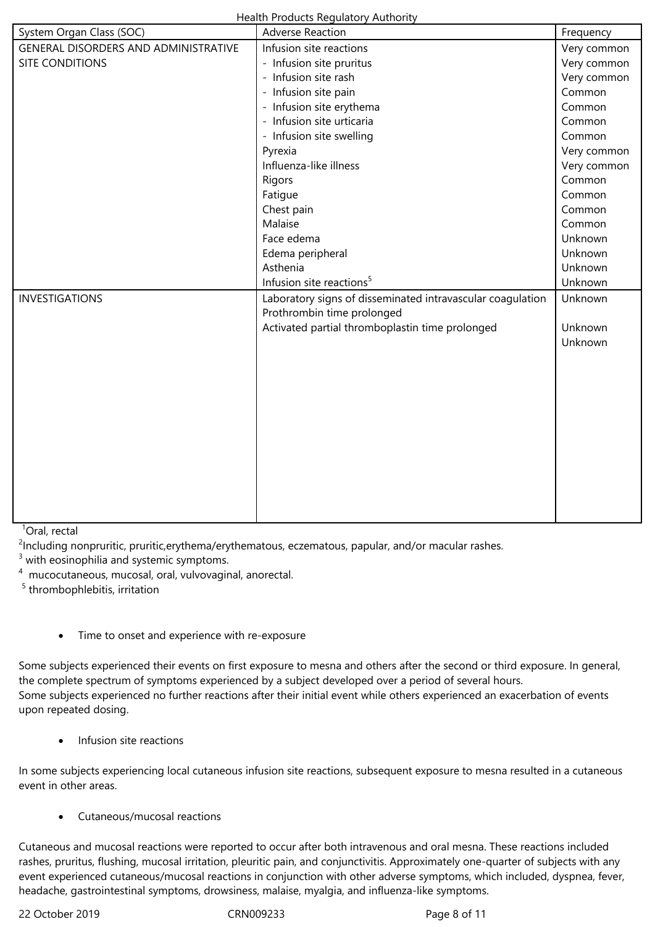| System Organ Class (SOC)             | <b>Adverse Reaction</b>                                    | Frequency   |
|--------------------------------------|------------------------------------------------------------|-------------|
| GENERAL DISORDERS AND ADMINISTRATIVE | Infusion site reactions                                    | Very common |
| <b>SITE CONDITIONS</b>               | - Infusion site pruritus                                   | Very common |
|                                      | - Infusion site rash                                       | Very common |
|                                      | - Infusion site pain                                       | Common      |
|                                      | - Infusion site erythema                                   | Common      |
|                                      | - Infusion site urticaria                                  | Common      |
|                                      | - Infusion site swelling                                   | Common      |
|                                      | Pyrexia                                                    | Very common |
|                                      | Influenza-like illness                                     | Very common |
|                                      | Rigors                                                     | Common      |
|                                      | Fatigue                                                    | Common      |
|                                      | Chest pain                                                 | Common      |
|                                      | Malaise                                                    | Common      |
|                                      | Face edema                                                 | Unknown     |
|                                      | Edema peripheral                                           | Unknown     |
|                                      | Asthenia                                                   | Unknown     |
|                                      | Infusion site reactions <sup>5</sup>                       | Unknown     |
| <b>INVESTIGATIONS</b>                | Laboratory signs of disseminated intravascular coagulation | Unknown     |
|                                      | Prothrombin time prolonged                                 |             |
|                                      | Activated partial thromboplastin time prolonged            | Unknown     |
|                                      |                                                            | Unknown     |
|                                      |                                                            |             |
|                                      |                                                            |             |
|                                      |                                                            |             |
|                                      |                                                            |             |
|                                      |                                                            |             |
|                                      |                                                            |             |
|                                      |                                                            |             |
|                                      |                                                            |             |
|                                      |                                                            |             |
|                                      |                                                            |             |
|                                      |                                                            |             |
|                                      |                                                            |             |

 $1$ Oral, rectal

<sup>2</sup>Including nonpruritic, pruritic,erythema/erythematous, eczematous, papular, and/or macular rashes.

 $3$  with eosinophilia and systemic symptoms.

<sup>4</sup> mucocutaneous, mucosal, oral, vulvovaginal, anorectal.

<sup>5</sup> thrombophlebitis, irritation

Time to onset and experience with re-exposure

Some subjects experienced their events on first exposure to mesna and others after the second or third exposure. In general, the complete spectrum of symptoms experienced by a subject developed over a period of several hours. Some subjects experienced no further reactions after their initial event while others experienced an exacerbation of events upon repeated dosing.

Infusion site reactions

In some subjects experiencing local cutaneous infusion site reactions, subsequent exposure to mesna resulted in a cutaneous event in other areas.

Cutaneous/mucosal reactions

Cutaneous and mucosal reactions were reported to occur after both intravenous and oral mesna. These reactions included rashes, pruritus, flushing, mucosal irritation, pleuritic pain, and conjunctivitis. Approximately one-quarter of subjects with any event experienced cutaneous/mucosal reactions in conjunction with other adverse symptoms, which included, dyspnea, fever, headache, gastrointestinal symptoms, drowsiness, malaise, myalgia, and influenza-like symptoms.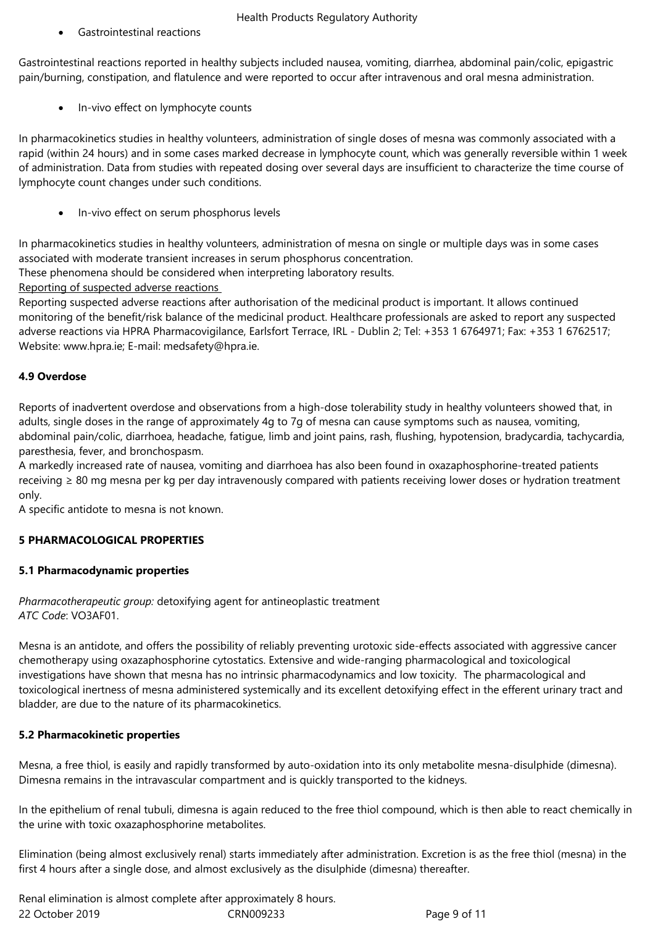Gastrointestinal reactions

Gastrointestinal reactions reported in healthy subjects included nausea, vomiting, diarrhea, abdominal pain/colic, epigastric pain/burning, constipation, and flatulence and were reported to occur after intravenous and oral mesna administration.

In-vivo effect on lymphocyte counts

In pharmacokinetics studies in healthy volunteers, administration of single doses of mesna was commonly associated with a rapid (within 24 hours) and in some cases marked decrease in lymphocyte count, which was generally reversible within 1 week of administration. Data from studies with repeated dosing over several days are insufficient to characterize the time course of lymphocyte count changes under such conditions.

• In-vivo effect on serum phosphorus levels

In pharmacokinetics studies in healthy volunteers, administration of mesna on single or multiple days was in some cases associated with moderate transient increases in serum phosphorus concentration.

These phenomena should be considered when interpreting laboratory results.

Reporting of suspected adverse reactions

Reporting suspected adverse reactions after authorisation of the medicinal product is important. It allows continued monitoring of the benefit/risk balance of the medicinal product. Healthcare professionals are asked to report any suspected adverse reactions via HPRA Pharmacovigilance, Earlsfort Terrace, IRL - Dublin 2; Tel: +353 1 6764971; Fax: +353 1 6762517; Website: www.hpra.ie; E-mail: medsafety@hpra.ie.

# **4.9 Overdose**

Reports of inadvertent overdose and observations from a high-dose tolerability study in healthy volunteers showed that, in adults, single doses in the range of approximately 4g to 7g of mesna can cause symptoms such as nausea, vomiting, abdominal pain/colic, diarrhoea, headache, fatigue, limb and joint pains, rash, flushing, hypotension, bradycardia, tachycardia, paresthesia, fever, and bronchospasm.

A markedly increased rate of nausea, vomiting and diarrhoea has also been found in oxazaphosphorine-treated patients receiving ≥ 80 mg mesna per kg per day intravenously compared with patients receiving lower doses or hydration treatment only.

A specific antidote to mesna is not known.

## **5 PHARMACOLOGICAL PROPERTIES**

## **5.1 Pharmacodynamic properties**

*Pharmacotherapeutic group:* detoxifying agent for antineoplastic treatment *ATC Code*: VO3AF01.

Mesna is an antidote, and offers the possibility of reliably preventing urotoxic side-effects associated with aggressive cancer chemotherapy using oxazaphosphorine cytostatics. Extensive and wide-ranging pharmacological and toxicological investigations have shown that mesna has no intrinsic pharmacodynamics and low toxicity. The pharmacological and toxicological inertness of mesna administered systemically and its excellent detoxifying effect in the efferent urinary tract and bladder, are due to the nature of its pharmacokinetics.

## **5.2 Pharmacokinetic properties**

Mesna, a free thiol, is easily and rapidly transformed by auto-oxidation into its only metabolite mesna-disulphide (dimesna). Dimesna remains in the intravascular compartment and is quickly transported to the kidneys.

In the epithelium of renal tubuli, dimesna is again reduced to the free thiol compound, which is then able to react chemically in the urine with toxic oxazaphosphorine metabolites.

Elimination (being almost exclusively renal) starts immediately after administration. Excretion is as the free thiol (mesna) in the first 4 hours after a single dose, and almost exclusively as the disulphide (dimesna) thereafter.

22 October 2019 CRN009233 Page 9 of 11 Renal elimination is almost complete after approximately 8 hours.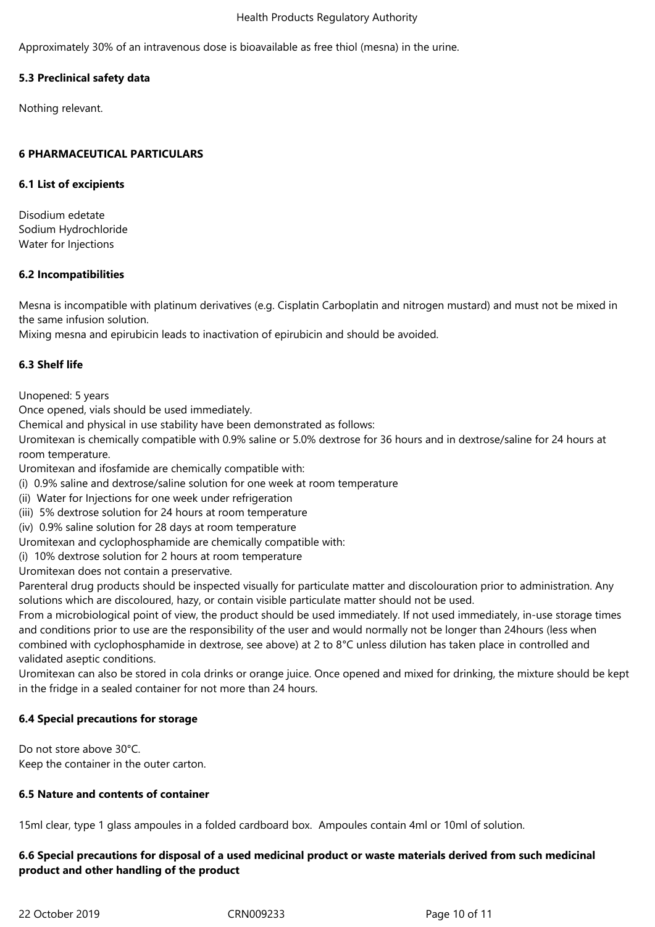Approximately 30% of an intravenous dose is bioavailable as free thiol (mesna) in the urine.

## **5.3 Preclinical safety data**

Nothing relevant.

## **6 PHARMACEUTICAL PARTICULARS**

#### **6.1 List of excipients**

Disodium edetate Sodium Hydrochloride Water for Injections

## **6.2 Incompatibilities**

Mesna is incompatible with platinum derivatives (e.g. Cisplatin Carboplatin and nitrogen mustard) and must not be mixed in the same infusion solution.

Mixing mesna and epirubicin leads to inactivation of epirubicin and should be avoided.

## **6.3 Shelf life**

Unopened: 5 years

Once opened, vials should be used immediately.

Chemical and physical in use stability have been demonstrated as follows:

Uromitexan is chemically compatible with 0.9% saline or 5.0% dextrose for 36 hours and in dextrose/saline for 24 hours at room temperature.

Uromitexan and ifosfamide are chemically compatible with:

- (i) 0.9% saline and dextrose/saline solution for one week at room temperature
- (ii) Water for Injections for one week under refrigeration
- (iii) 5% dextrose solution for 24 hours at room temperature
- (iv) 0.9% saline solution for 28 days at room temperature
- Uromitexan and cyclophosphamide are chemically compatible with:
- (i) 10% dextrose solution for 2 hours at room temperature
- Uromitexan does not contain a preservative.

Parenteral drug products should be inspected visually for particulate matter and discolouration prior to administration. Any solutions which are discoloured, hazy, or contain visible particulate matter should not be used.

From a microbiological point of view, the product should be used immediately. If not used immediately, in-use storage times and conditions prior to use are the responsibility of the user and would normally not be longer than 24hours (less when combined with cyclophosphamide in dextrose, see above) at 2 to 8°C unless dilution has taken place in controlled and validated aseptic conditions.

Uromitexan can also be stored in cola drinks or orange juice. Once opened and mixed for drinking, the mixture should be kept in the fridge in a sealed container for not more than 24 hours.

#### **6.4 Special precautions for storage**

Do not store above 30°C. Keep the container in the outer carton.

#### **6.5 Nature and contents of container**

15ml clear, type 1 glass ampoules in a folded cardboard box. Ampoules contain 4ml or 10ml of solution.

## **6.6 Special precautions for disposal of a used medicinal product or waste materials derived from such medicinal product and other handling of the product**